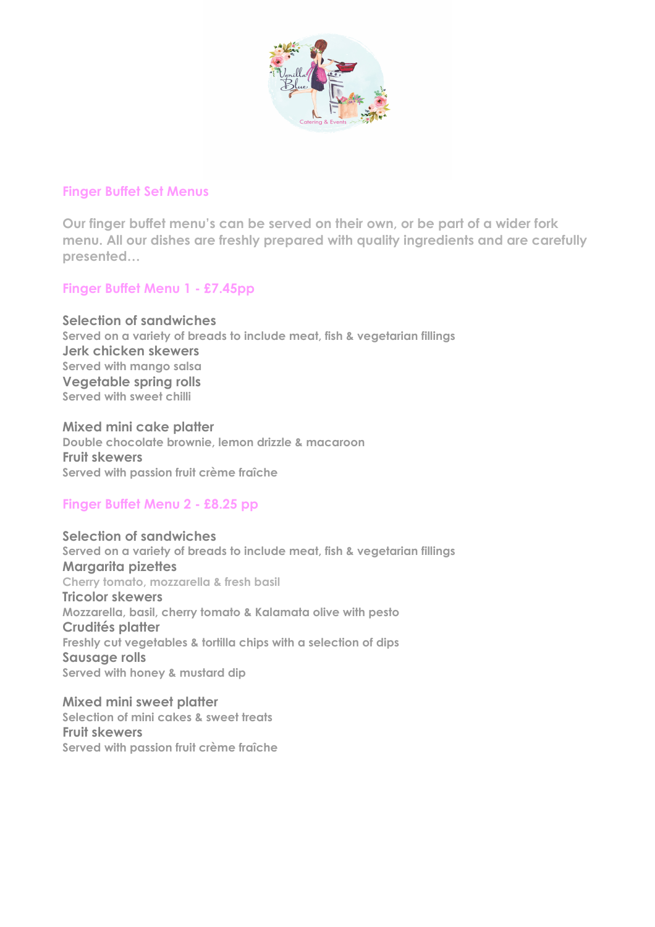

### **Finger Buffet Set Menus**

**Our finger buffet menu's can be served on their own, or be part of a wider fork menu. All our dishes are freshly prepared with quality ingredients and are carefully presented…**

# **Finger Buffet Menu 1 - £7.45pp**

**Selection of sandwiches Served on a variety of breads to include meat, fish & vegetarian fillings Jerk chicken skewers Served with mango salsa Vegetable spring rolls Served with sweet chilli**

**Mixed mini cake platter Double chocolate brownie, lemon drizzle & macaroon Fruit skewers Served with passion fruit crème fraîche**

# **Finger Buffet Menu 2 - £8.25 pp**

**Selection of sandwiches Served on a variety of breads to include meat, fish & vegetarian fillings Margarita pizettes Cherry tomato, mozzarella & fresh basil Tricolor skewers Mozzarella, basil, cherry tomato & Kalamata olive with pesto Crudités platter Freshly cut vegetables & tortilla chips with a selection of dips Sausage rolls Served with honey & mustard dip**

**Mixed mini sweet platter Selection of mini cakes & sweet treats Fruit skewers Served with passion fruit crème fraîche**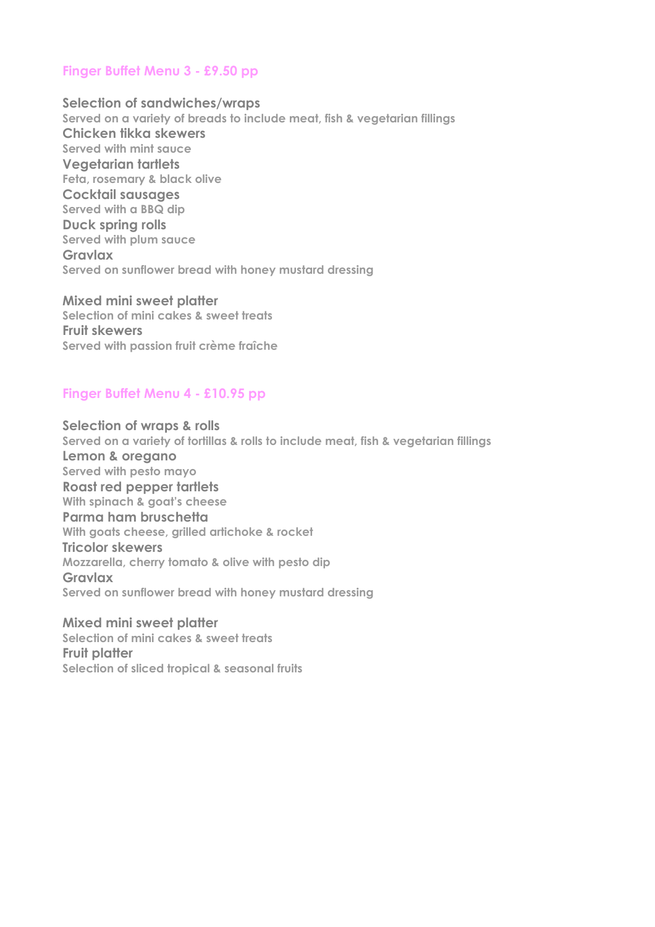### **Finger Buffet Menu 3 - £9.50 pp**

**Selection of sandwiches/wraps Served on a variety of breads to include meat, fish & vegetarian fillings Chicken tikka skewers Served with mint sauce Vegetarian tartlets Feta, rosemary & black olive Cocktail sausages Served with a BBQ dip Duck spring rolls Served with plum sauce Gravlax Served on sunflower bread with honey mustard dressing**

**Mixed mini sweet platter Selection of mini cakes & sweet treats Fruit skewers Served with passion fruit crème fraîche**

### **Finger Buffet Menu 4 - £10.95 pp**

**Selection of wraps & rolls Served on a variety of tortillas & rolls to include meat, fish & vegetarian fillings Lemon & oregano Served with pesto mayo Roast red pepper tartlets With spinach & goat's cheese Parma ham bruschetta With goats cheese, grilled artichoke & rocket Tricolor skewers Mozzarella, cherry tomato & olive with pesto dip Gravlax Served on sunflower bread with honey mustard dressing**

**Mixed mini sweet platter Selection of mini cakes & sweet treats Fruit platter Selection of sliced tropical & seasonal fruits**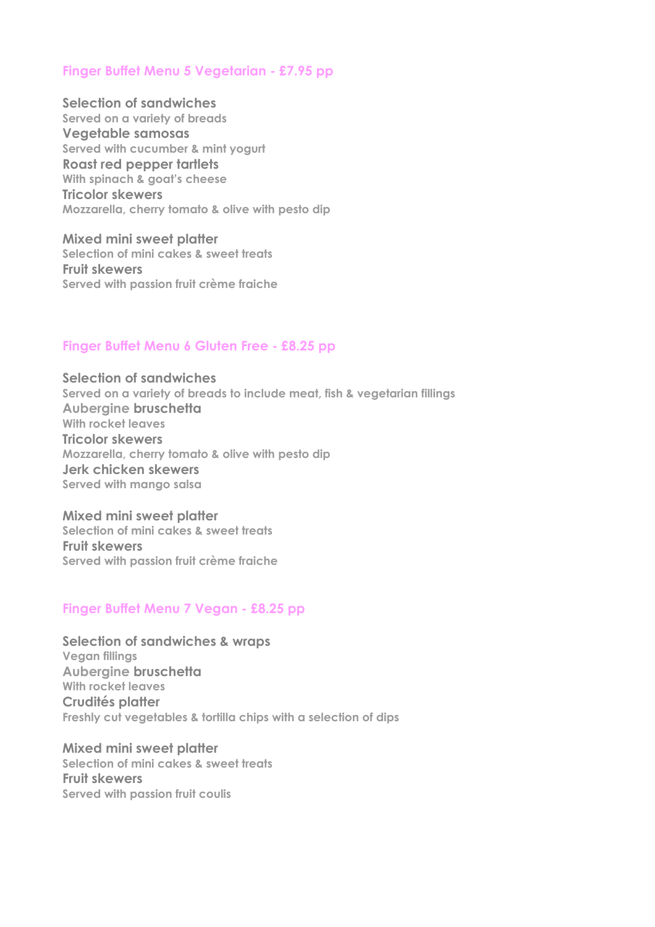### **Finger Buffet Menu 5 Vegetarian - £7.95 pp**

**Selection of sandwiches Served on a variety of breads Vegetable samosas Served with cucumber & mint yogurt Roast red pepper tartlets With spinach & goat's cheese Tricolor skewers Mozzarella, cherry tomato & olive with pesto dip**

**Mixed mini sweet platter Selection of mini cakes & sweet treats Fruit skewers Served with passion fruit crème fraiche**

#### **Finger Buffet Menu 6 Gluten Free - £8.25 pp**

**Selection of sandwiches Served on a variety of breads to include meat, fish & vegetarian fillings Aubergine bruschetta With rocket leaves Tricolor skewers Mozzarella, cherry tomato & olive with pesto dip Jerk chicken skewers Served with mango salsa**

**Mixed mini sweet platter Selection of mini cakes & sweet treats Fruit skewers Served with passion fruit crème fraiche**

#### **Finger Buffet Menu 7 Vegan - £8.25 pp**

**Selection of sandwiches & wraps Vegan fillings Aubergine bruschetta With rocket leaves Crudités platter Freshly cut vegetables & tortilla chips with a selection of dips** 

**Mixed mini sweet platter Selection of mini cakes & sweet treats Fruit skewers Served with passion fruit coulis**